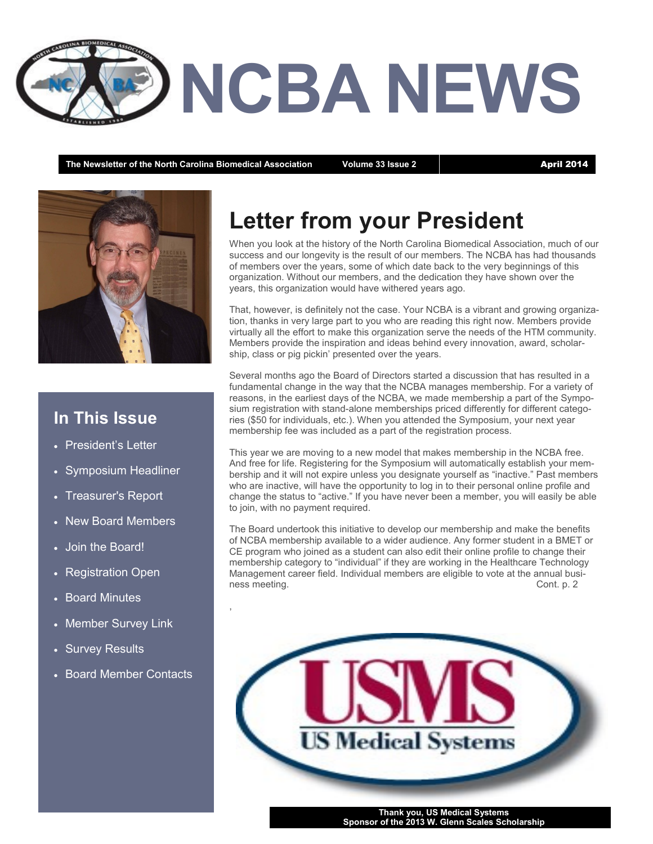

The Newsletter of the North Carolina Biomedical Association Volume 33 Issue 2 **April 2014** 



## **In This Issue**

- President's Letter
- Symposium Headliner
- Treasurer's Report
- New Board Members
- Join the Board!
- Registration Open
- Board Minutes
- Member Survey Link

,

- Survey Results
- Board Member Contacts

# **Letter from your President**

When you look at the history of the North Carolina Biomedical Association, much of our success and our longevity is the result of our members. The NCBA has had thousands of members over the years, some of which date back to the very beginnings of this organization. Without our members, and the dedication they have shown over the years, this organization would have withered years ago.

That, however, is definitely not the case. Your NCBA is a vibrant and growing organization, thanks in very large part to you who are reading this right now. Members provide virtually all the effort to make this organization serve the needs of the HTM community. Members provide the inspiration and ideas behind every innovation, award, scholarship, class or pig pickin' presented over the years.

Several months ago the Board of Directors started a discussion that has resulted in a fundamental change in the way that the NCBA manages membership. For a variety of reasons, in the earliest days of the NCBA, we made membership a part of the Symposium registration with stand-alone memberships priced differently for different categories (\$50 for individuals, etc.). When you attended the Symposium, your next year membership fee was included as a part of the registration process.

This year we are moving to a new model that makes membership in the NCBA free. And free for life. Registering for the Symposium will automatically establish your membership and it will not expire unless you designate yourself as "inactive." Past members who are inactive, will have the opportunity to log in to their personal online profile and change the status to "active." If you have never been a member, you will easily be able to join, with no payment required.

The Board undertook this initiative to develop our membership and make the benefits of NCBA membership available to a wider audience. Any former student in a BMET or CE program who joined as a student can also edit their online profile to change their membership category to "individual" if they are working in the Healthcare Technology Management career field. Individual members are eligible to vote at the annual business meeting. Cont. p. 2

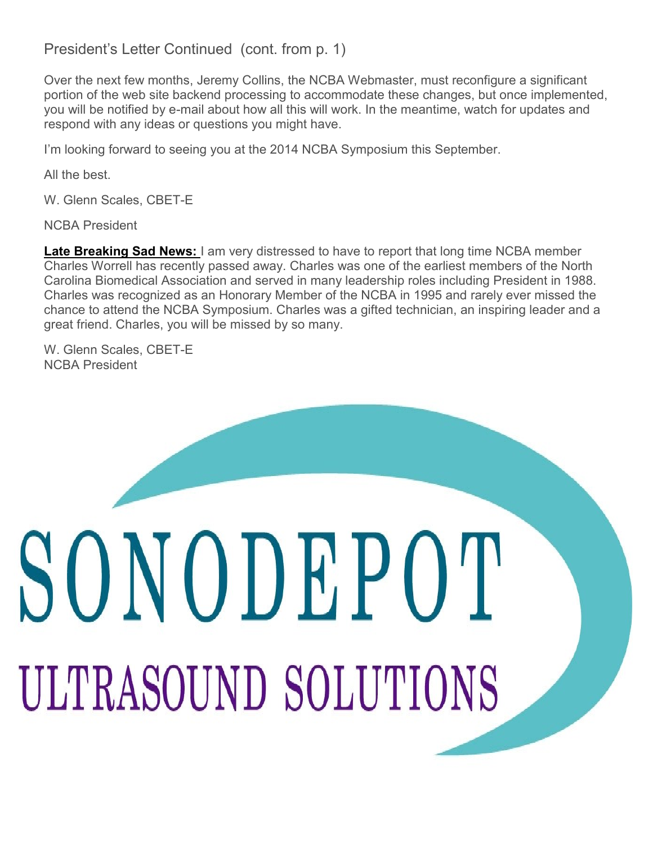#### President's Letter Continued (cont. from p. 1)

Over the next few months, Jeremy Collins, the NCBA Webmaster, must reconfigure a significant portion of the web site backend processing to accommodate these changes, but once implemented, you will be notified by e-mail about how all this will work. In the meantime, watch for updates and respond with any ideas or questions you might have.

I'm looking forward to seeing you at the 2014 NCBA Symposium this September.

All the best.

W. Glenn Scales, CBET-E

NCBA President

**Late Breaking Sad News:** I am very distressed to have to report that long time NCBA member Charles Worrell has recently passed away. Charles was one of the earliest members of the North Carolina Biomedical Association and served in many leadership roles including President in 1988. Charles was recognized as an Honorary Member of the NCBA in 1995 and rarely ever missed the chance to attend the NCBA Symposium. Charles was a gifted technician, an inspiring leader and a great friend. Charles, you will be missed by so many.

W. Glenn Scales, CBET-E NCBA President

# SONODEPOT ULTRASOUND SOLUTIONS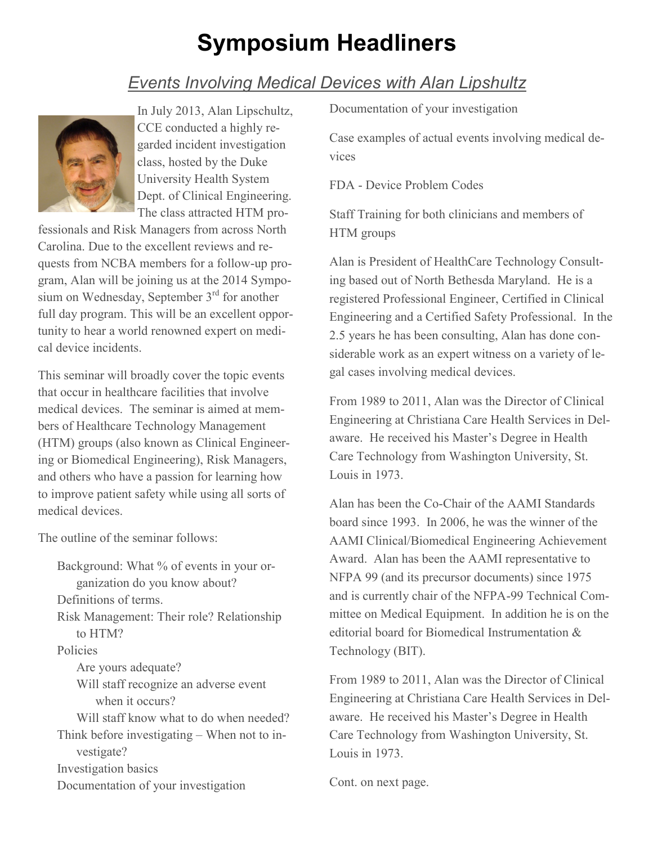# **Symposium Headliners**

## *Events Involving Medical Devices with Alan Lipshultz*



In July 2013, Alan Lipschultz, CCE conducted a highly regarded incident investigation class, hosted by the Duke University Health System Dept. of Clinical Engineering. The class attracted HTM pro-

fessionals and Risk Managers from across North Carolina. Due to the excellent reviews and requests from NCBA members for a follow-up program, Alan will be joining us at the 2014 Symposium on Wednesday, September  $3<sup>rd</sup>$  for another full day program. This will be an excellent opportunity to hear a world renowned expert on medical device incidents.

This seminar will broadly cover the topic events that occur in healthcare facilities that involve medical devices. The seminar is aimed at members of Healthcare Technology Management (HTM) groups (also known as Clinical Engineering or Biomedical Engineering), Risk Managers, and others who have a passion for learning how to improve patient safety while using all sorts of medical devices.

The outline of the seminar follows:

Background: What % of events in your organization do you know about? Definitions of terms. Risk Management: Their role? Relationship to HTM? Policies Are yours adequate? Will staff recognize an adverse event when it occurs? Will staff know what to do when needed? Think before investigating – When not to investigate? Investigation basics Documentation of your investigation

Documentation of your investigation

Case examples of actual events involving medical devices

FDA - Device Problem Codes

Staff Training for both clinicians and members of HTM groups

Alan is President of HealthCare Technology Consulting based out of North Bethesda Maryland. He is a registered Professional Engineer, Certified in Clinical Engineering and a Certified Safety Professional. In the 2.5 years he has been consulting, Alan has done considerable work as an expert witness on a variety of legal cases involving medical devices.

From 1989 to 2011, Alan was the Director of Clinical Engineering at Christiana Care Health Services in Delaware. He received his Master's Degree in Health Care Technology from Washington University, St. Louis in 1973.

Alan has been the Co-Chair of the AAMI Standards board since 1993. In 2006, he was the winner of the AAMI Clinical/Biomedical Engineering Achievement Award. Alan has been the AAMI representative to NFPA 99 (and its precursor documents) since 1975 and is currently chair of the NFPA-99 Technical Committee on Medical Equipment. In addition he is on the editorial board for Biomedical Instrumentation & Technology (BIT).

From 1989 to 2011, Alan was the Director of Clinical Engineering at Christiana Care Health Services in Delaware. He received his Master's Degree in Health Care Technology from Washington University, St. Louis in 1973.

Cont. on next page.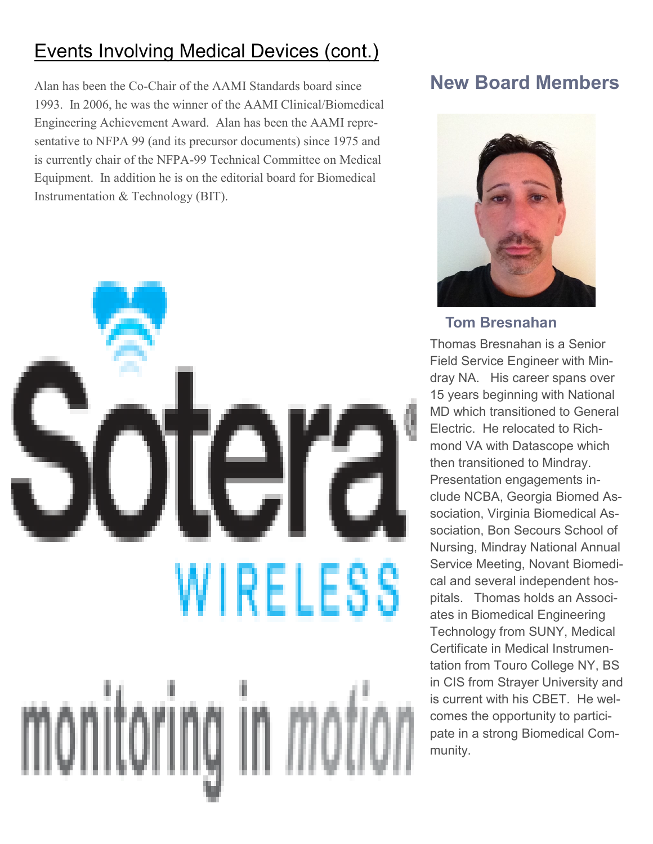# Events Involving Medical Devices (cont.)

Alan has been the Co-Chair of the AAMI Standards board since 1993. In 2006, he was the winner of the AAMI Clinical/Biomedical Engineering Achievement Award. Alan has been the AAMI representative to NFPA 99 (and its precursor documents) since 1975 and is currently chair of the NFPA-99 Technical Committee on Medical Equipment. In addition he is on the editorial board for Biomedical Instrumentation & Technology (BIT).



## **New Board Members**



#### **Tom Bresnahan**

Thomas Bresnahan is a Senior Field Service Engineer with Mindray NA. His career spans over 15 years beginning with National MD which transitioned to General Electric. He relocated to Richmond VA with Datascope which then transitioned to Mindray. Presentation engagements include NCBA, Georgia Biomed Association, Virginia Biomedical Association, Bon Secours School of Nursing, Mindray National Annual Service Meeting, Novant Biomedical and several independent hospitals. Thomas holds an Associates in Biomedical Engineering Technology from SUNY, Medical Certificate in Medical Instrumentation from Touro College NY, BS in CIS from Strayer University and is current with his CBET. He welcomes the opportunity to participate in a strong Biomedical Community.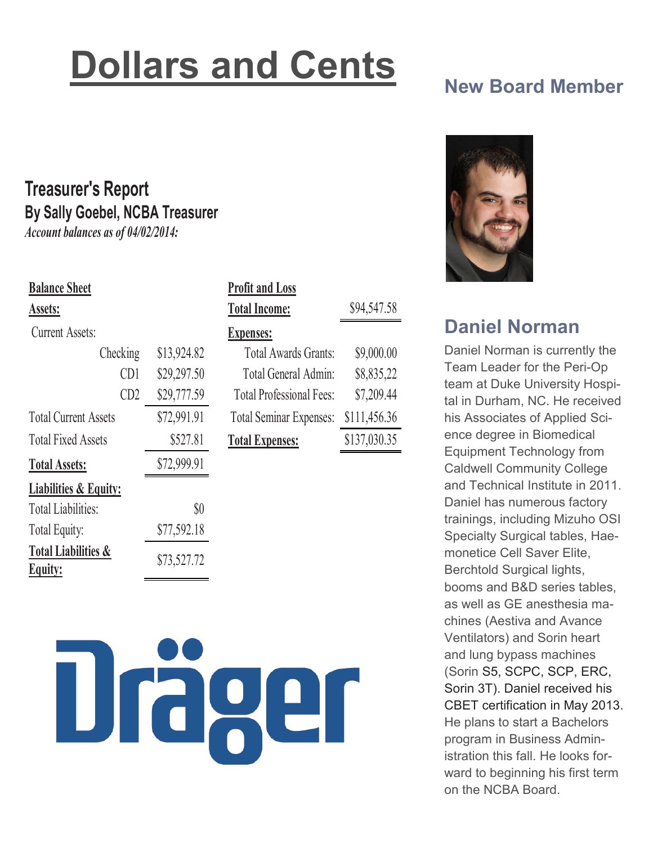# **Dollars and Cents**

# **New Board Member**

# **Treasurer's Report By Sally Goebel, NCBA Treasurer**

*Account balances as of 04/02/2014:*

| <b>Balance Sheet</b>                             |             | <b>Profit and Loss</b>          |              |
|--------------------------------------------------|-------------|---------------------------------|--------------|
| Assets:                                          |             | <b>Total Income:</b>            | \$94,547.58  |
| <b>Current Assets:</b>                           |             | <b>Expenses:</b>                |              |
| Checking                                         | \$13,924.82 | <b>Total Awards Grants:</b>     | \$9,000.00   |
| CD1                                              | \$29,297.50 | Total General Admin:            | \$8,835,22   |
| CD2                                              | \$29,777.59 | <b>Total Professional Fees:</b> | \$7,209.44   |
| <b>Total Current Assets</b>                      | \$72,991.91 | <b>Total Seminar Expenses:</b>  | \$111,456.36 |
| <b>Total Fixed Assets</b>                        | \$527.81    | <b>Total Expenses:</b>          | \$137,030.35 |
| <b>Total Assets:</b>                             | \$72,999.91 |                                 |              |
| <b>Liabilities &amp; Equity:</b>                 |             |                                 |              |
| <b>Total Liabilities:</b>                        | $\$0$       |                                 |              |
| Total Equity:                                    | \$77,592.18 |                                 |              |
| <b>Total Liabilities &amp;</b><br><b>Equity:</b> | \$73,527.72 |                                 |              |





## **Daniel Norman**

Daniel Norman is currently the Team Leader for the Peri-Op team at Duke University Hospital in Durham, NC. He received his Associates of Applied Science degree in Biomedical Equipment Technology from Caldwell Community College and Technical Institute in 2011. Daniel has numerous factory trainings, including Mizuho OSI Specialty Surgical tables, Haemonetice Cell Saver Elite, Berchtold Surgical lights, booms and B&D series tables, as well as GE anesthesia machines (Aestiva and Avance Ventilators) and Sorin heart and lung bypass machines (Sorin S5, SCPC, SCP, ERC, Sorin 3T). Daniel received his CBET certification in May 2013. He plans to start a Bachelors program in Business Administration this fall. He looks forward to beginning his first term on the NCBA Board.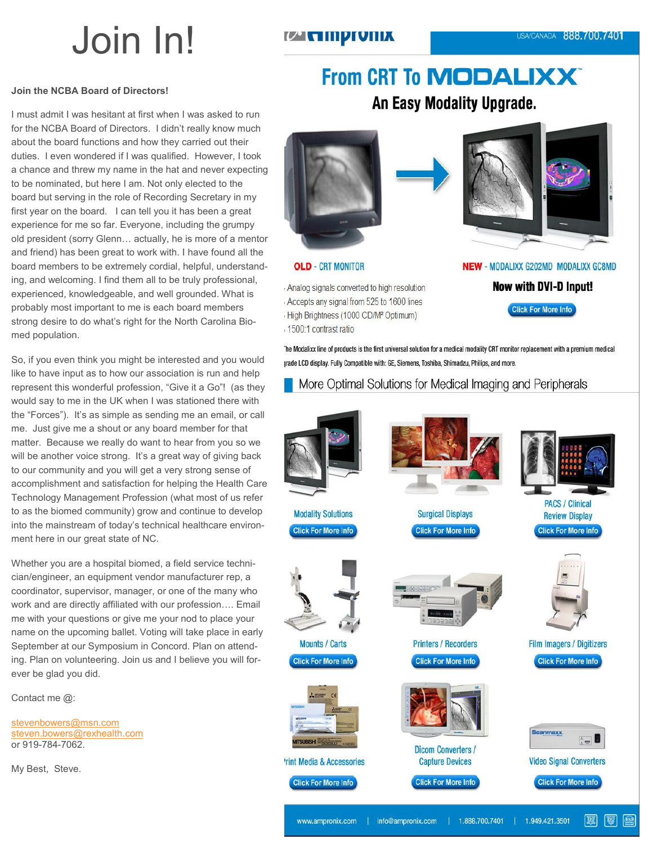# Join In!

#### *U* с піргоніх

#### **Join the NCBA Board of Directors!**

I must admit I was hesitant at first when I was asked to run for the NCBA Board of Directors. I didn't really know much about the board functions and how they carried out their duties. I even wondered if I was qualified. However, I took a chance and threw my name in the hat and never expecting to be nominated, but here I am. Not only elected to the board but serving in the role of Recording Secretary in my first year on the board. I can tell you it has been a great experience for me so far. Everyone, including the grumpy old president (sorry Glenn… actually, he is more of a mentor and friend) has been great to work with. I have found all the board members to be extremely cordial, helpful, understanding, and welcoming. I find them all to be truly professional, experienced, knowledgeable, and well grounded. What is probably most important to me is each board members strong desire to do what's right for the North Carolina Biomed population.

So, if you even think you might be interested and you would like to have input as to how our association is run and help represent this wonderful profession, "Give it a Go"! (as they would say to me in the UK when I was stationed there with the "Forces"). It's as simple as sending me an email, or call me. Just give me a shout or any board member for that matter. Because we really do want to hear from you so we will be another voice strong. It's a great way of giving back to our community and you will get a very strong sense of accomplishment and satisfaction for helping the Health Care Technology Management Profession (what most of us refer to as the biomed community) grow and continue to develop into the mainstream of today's technical healthcare environment here in our great state of NC.

Whether you are a hospital biomed, a field service technician/engineer, an equipment vendor manufacturer rep, a coordinator, supervisor, manager, or one of the many who work and are directly affiliated with our profession…. Email me with your questions or give me your nod to place your name on the upcoming ballet. Voting will take place in early September at our Symposium in Concord. Plan on attending. Plan on volunteering. Join us and I believe you will forever be glad you did.

Contact me @:

[stevenbowers@msn.com](mailto:stevenbowers@msn.com) [steven.bowers@rexhealth.com](mailto:steven.bowers@rexhealth.com) or 919-784-7062.

My Best, Steve.

## **From CRT To MODALIXX®** An Easy Modality Upgrade.



#### **OLD** - CRT MONITOR

Analog signals converted to high resolution Accepts any signal from 525 to 1600 lines High Brightness (1000 CD/M<sup>2</sup> Optimum) 1500:1 contrast ratio



NEW - MODALIXX G202MD MODALIXX GC8MD

**Now with DVI-D Input!** 

**Click For More Info** 

The Modalixx line of products is the first universal solution for a medical modality CRT monitor replacement with a premium medical jrade LCD display. Fully Compatible with: GE, Siemens, Toshiba, Shimadzu, Philips, and more.

#### More Optimal Solutions for Medical Imaging and Peripherals

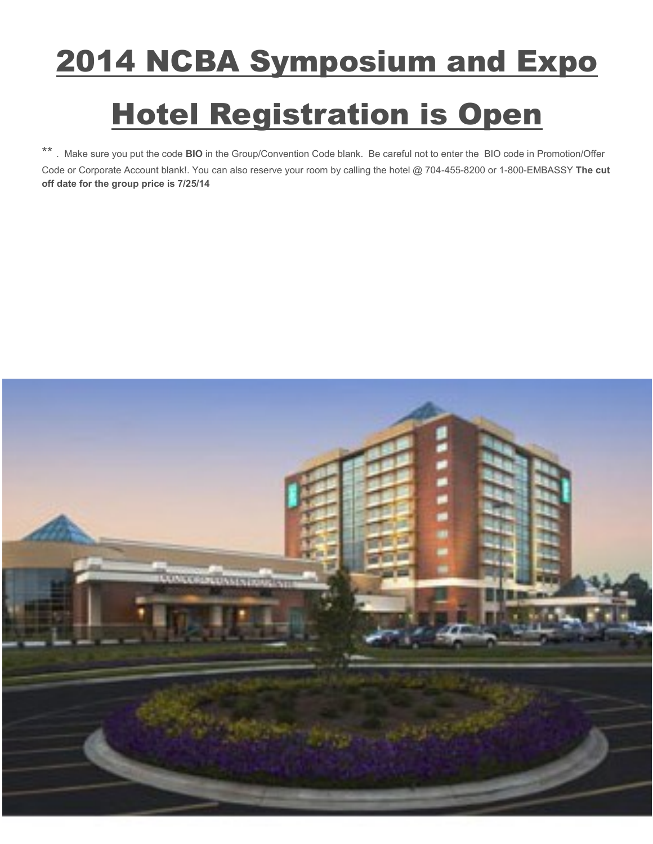# 2014 NCBA Symposium and Expo

# **Hotel Registration is Open**

\*\* . Make sure you put the code **BIO** in the Group/Convention Code blank. Be careful not to enter the BIO code in Promotion/Offer Code or Corporate Account blank!. You can also reserve your room by calling the hotel @ 704-455-8200 or 1-800-EMBASSY **The cut off date for the group price is 7/25/14**

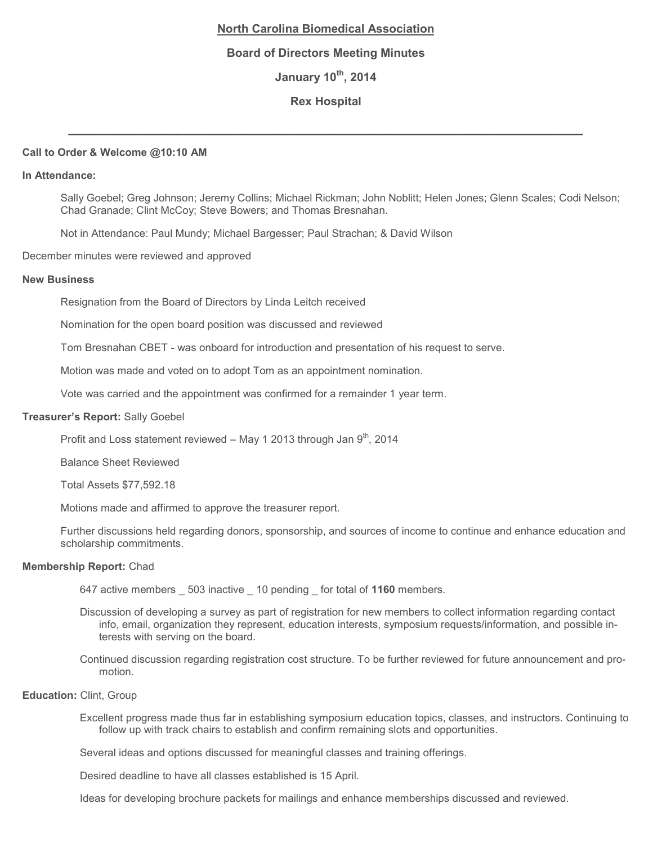#### **North Carolina Biomedical Association**

#### **Board of Directors Meeting Minutes**

**January 10th, 2014**

#### **Rex Hospital**

**\_\_\_\_\_\_\_\_\_\_\_\_\_\_\_\_\_\_\_\_\_\_\_\_\_\_\_\_\_\_\_\_\_\_\_\_\_\_\_\_\_\_\_\_\_\_\_\_\_\_\_\_\_\_\_\_\_\_\_\_\_\_**

#### **Call to Order & Welcome @10:10 AM**

#### **In Attendance:**

Sally Goebel; Greg Johnson; Jeremy Collins; Michael Rickman; John Noblitt; Helen Jones; Glenn Scales; Codi Nelson; Chad Granade; Clint McCoy; Steve Bowers; and Thomas Bresnahan.

Not in Attendance: Paul Mundy; Michael Bargesser; Paul Strachan; & David Wilson

December minutes were reviewed and approved

#### **New Business**

Resignation from the Board of Directors by Linda Leitch received

Nomination for the open board position was discussed and reviewed

Tom Bresnahan CBET - was onboard for introduction and presentation of his request to serve.

Motion was made and voted on to adopt Tom as an appointment nomination.

Vote was carried and the appointment was confirmed for a remainder 1 year term.

#### **Treasurer's Report:** Sally Goebel

Profit and Loss statement reviewed – May 1 2013 through Jan  $9<sup>th</sup>$ , 2014

Balance Sheet Reviewed

Total Assets \$77,592.18

Motions made and affirmed to approve the treasurer report.

Further discussions held regarding donors, sponsorship, and sources of income to continue and enhance education and scholarship commitments.

#### **Membership Report:** Chad

647 active members \_ 503 inactive \_ 10 pending \_ for total of **1160** members.

- Discussion of developing a survey as part of registration for new members to collect information regarding contact info, email, organization they represent, education interests, symposium requests/information, and possible interests with serving on the board.
- Continued discussion regarding registration cost structure. To be further reviewed for future announcement and promotion.

#### **Education:** Clint, Group

Excellent progress made thus far in establishing symposium education topics, classes, and instructors. Continuing to follow up with track chairs to establish and confirm remaining slots and opportunities.

Several ideas and options discussed for meaningful classes and training offerings.

Desired deadline to have all classes established is 15 April.

Ideas for developing brochure packets for mailings and enhance memberships discussed and reviewed.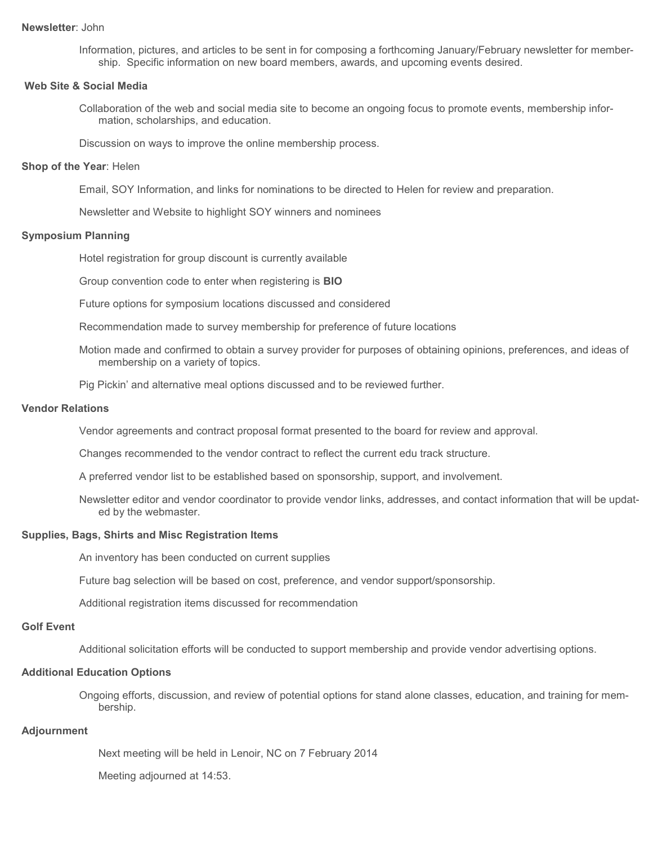#### **Newsletter**: John

Information, pictures, and articles to be sent in for composing a forthcoming January/February newsletter for membership. Specific information on new board members, awards, and upcoming events desired.

#### **Web Site & Social Media**

Collaboration of the web and social media site to become an ongoing focus to promote events, membership information, scholarships, and education.

Discussion on ways to improve the online membership process.

#### **Shop of the Year**: Helen

Email, SOY Information, and links for nominations to be directed to Helen for review and preparation.

Newsletter and Website to highlight SOY winners and nominees

#### **Symposium Planning**

Hotel registration for group discount is currently available

Group convention code to enter when registering is **BIO**

Future options for symposium locations discussed and considered

Recommendation made to survey membership for preference of future locations

Motion made and confirmed to obtain a survey provider for purposes of obtaining opinions, preferences, and ideas of membership on a variety of topics.

Pig Pickin' and alternative meal options discussed and to be reviewed further.

#### **Vendor Relations**

Vendor agreements and contract proposal format presented to the board for review and approval.

Changes recommended to the vendor contract to reflect the current edu track structure.

A preferred vendor list to be established based on sponsorship, support, and involvement.

Newsletter editor and vendor coordinator to provide vendor links, addresses, and contact information that will be updated by the webmaster.

#### **Supplies, Bags, Shirts and Misc Registration Items**

An inventory has been conducted on current supplies

Future bag selection will be based on cost, preference, and vendor support/sponsorship.

Additional registration items discussed for recommendation

#### **Golf Event**

Additional solicitation efforts will be conducted to support membership and provide vendor advertising options.

#### **Additional Education Options**

Ongoing efforts, discussion, and review of potential options for stand alone classes, education, and training for membership.

#### **Adjournment**

Next meeting will be held in Lenoir, NC on 7 February 2014

Meeting adjourned at 14:53.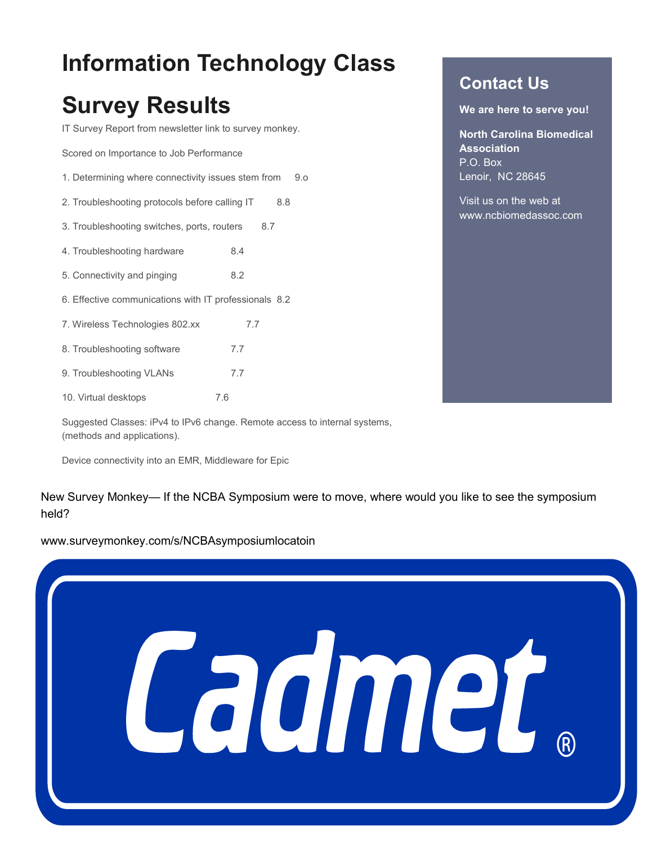# **Information Technology Class**

# **Survey Results**

IT Survey Report from newsletter link to survey monkey.

Scored on Importance to Job Performance

- 1. Determining where connectivity issues stem from 9.o
- 2. Troubleshooting protocols before calling IT 8.8
- 3. Troubleshooting switches, ports, routers 8.7
- 4. Troubleshooting hardware 8.4
- 5. Connectivity and pinging 8.2
- 6. Effective communications with IT professionals 8.2
- 7. Wireless Technologies 802.xx 7.7
- 8. Troubleshooting software 7.7
- 9. Troubleshooting VLANs 7.7
- 10. Virtual desktops 7.6

Suggested Classes: iPv4 to IPv6 change. Remote access to internal systems, (methods and applications).

Device connectivity into an EMR, Middleware for Epic

New Survey Monkey— If the NCBA Symposium were to move, where would you like to see the symposium held?

www.surveymonkey.com/s/NCBAsymposiumlocatoin



### **Contact Us**

**We are here to serve you!** 

**North Carolina Biomedical Association** P.O. Box Lenoir, NC 28645

Visit us on the web at www.ncbiomedassoc.com